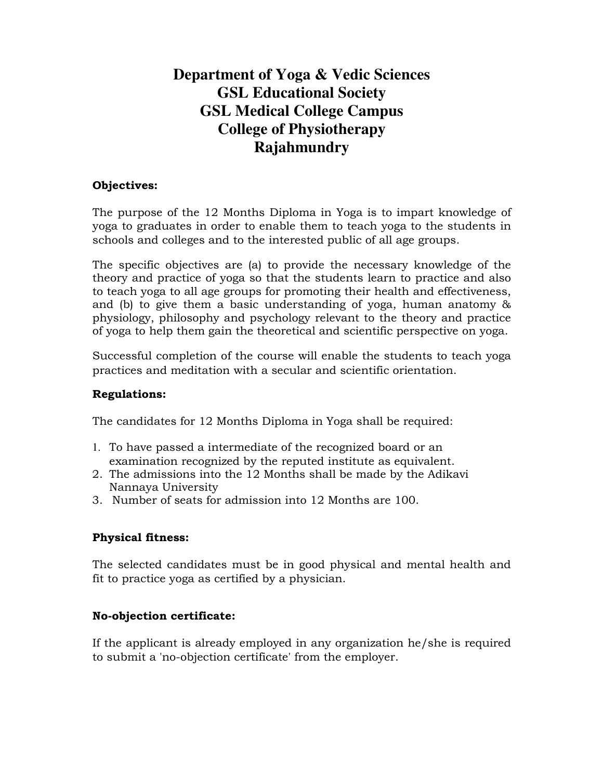# **Department of Yoga & Vedic Sciences GSL Educational Society GSL Medical College Campus College of Physiotherapy Rajahmundry**

# **Objectives:**

The purpose of the 12 Months Diploma in Yoga is to impart knowledge of yoga to graduates in order to enable them to teach yoga to the students in schools and colleges and to the interested public of all age groups.

The specific objectives are (a) to provide the necessary knowledge of the theory and practice of yoga so that the students learn to practice and also to teach yoga to all age groups for promoting their health and effectiveness, and (b) to give them a basic understanding of yoga, human anatomy & physiology, philosophy and psychology relevant to the theory and practice of yoga to help them gain the theoretical and scientific perspective on yoga.

Successful completion of the course will enable the students to teach yoga practices and meditation with a secular and scientific orientation.

#### **Regulations:**

The candidates for 12 Months Diploma in Yoga shall be required:

- 1. To have passed a intermediate of the recognized board or an examination recognized by the reputed institute as equivalent.
- 2. The admissions into the 12 Months shall be made by the Adikavi Nannaya University
- 3. Number of seats for admission into 12 Months are 100.

# **Physical fitness:**

The selected candidates must be in good physical and mental health and fit to practice yoga as certified by a physician.

# **No-objection certificate:**

If the applicant is already employed in any organization he/she is required to submit a 'no-objection certificate' from the employer.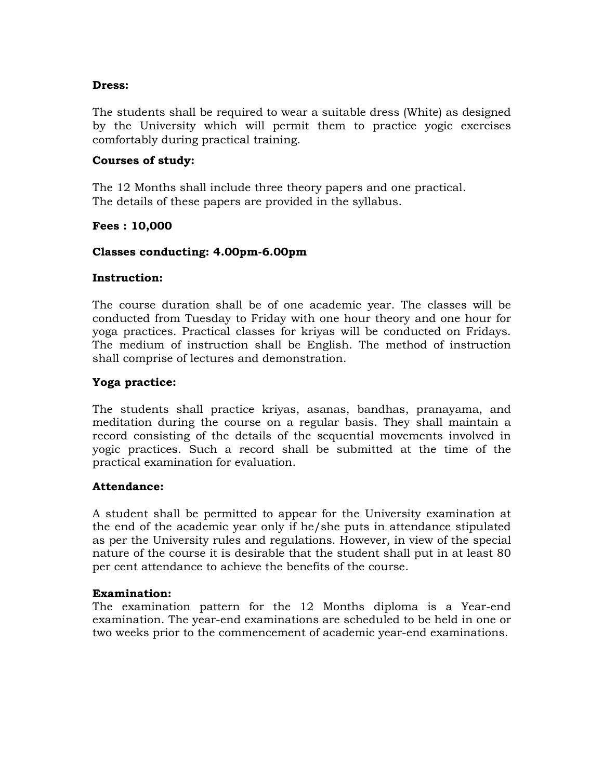#### **Dress:**

The students shall be required to wear a suitable dress (White) as designed by the University which will permit them to practice yogic exercises comfortably during practical training.

#### **Courses of study:**

The 12 Months shall include three theory papers and one practical. The details of these papers are provided in the syllabus.

## **Fees : 10,000**

## **Classes conducting: 4.00pm-6.00pm**

#### **Instruction:**

The course duration shall be of one academic year. The classes will be conducted from Tuesday to Friday with one hour theory and one hour for yoga practices. Practical classes for kriyas will be conducted on Fridays. The medium of instruction shall be English. The method of instruction shall comprise of lectures and demonstration.

## **Yoga practice:**

The students shall practice kriyas, asanas, bandhas, pranayama, and meditation during the course on a regular basis. They shall maintain a record consisting of the details of the sequential movements involved in yogic practices. Such a record shall be submitted at the time of the practical examination for evaluation.

#### **Attendance:**

A student shall be permitted to appear for the University examination at the end of the academic year only if he/she puts in attendance stipulated as per the University rules and regulations. However, in view of the special nature of the course it is desirable that the student shall put in at least 80 per cent attendance to achieve the benefits of the course.

#### **Examination:**

The examination pattern for the 12 Months diploma is a Year-end examination. The year-end examinations are scheduled to be held in one or two weeks prior to the commencement of academic year-end examinations.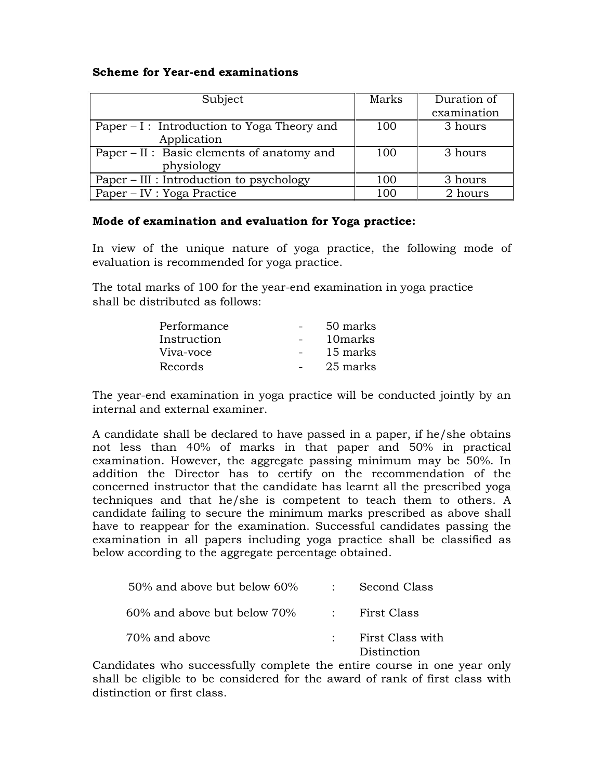## **Scheme for Year-end examinations**

| Subject                                      | Marks | Duration of<br>examination |
|----------------------------------------------|-------|----------------------------|
|                                              |       |                            |
| Paper $-I$ : Introduction to Yoga Theory and | 100   | 3 hours                    |
| Application                                  |       |                            |
| Paper – II : Basic elements of anatomy and   | 100   | 3 hours                    |
| physiology                                   |       |                            |
| Paper – III : Introduction to psychology     | 100   | 3 hours                    |
| Paper – IV : Yoga Practice                   | 100   | 2 hours                    |

## **Mode of examination and evaluation for Yoga practice:**

In view of the unique nature of yoga practice, the following mode of evaluation is recommended for yoga practice.

The total marks of 100 for the year-end examination in yoga practice shall be distributed as follows:

| Performance | 50 marks |
|-------------|----------|
| Instruction | 10 marks |
| Viva-voce   | 15 marks |
| Records     | 25 marks |

The year-end examination in yoga practice will be conducted jointly by an internal and external examiner.

A candidate shall be declared to have passed in a paper, if he/she obtains not less than 40% of marks in that paper and 50% in practical examination. However, the aggregate passing minimum may be 50%. In addition the Director has to certify on the recommendation of the concerned instructor that the candidate has learnt all the prescribed yoga techniques and that he/she is competent to teach them to others. A candidate failing to secure the minimum marks prescribed as above shall have to reappear for the examination. Successful candidates passing the examination in all papers including yoga practice shall be classified as below according to the aggregate percentage obtained.

| $50\%$ and above but below 60%    | : Second Class                    |
|-----------------------------------|-----------------------------------|
| $60\%$ and above but below $70\%$ | : First Class                     |
| 70% and above                     | : First Class with<br>Distinction |

Candidates who successfully complete the entire course in one year only shall be eligible to be considered for the award of rank of first class with distinction or first class.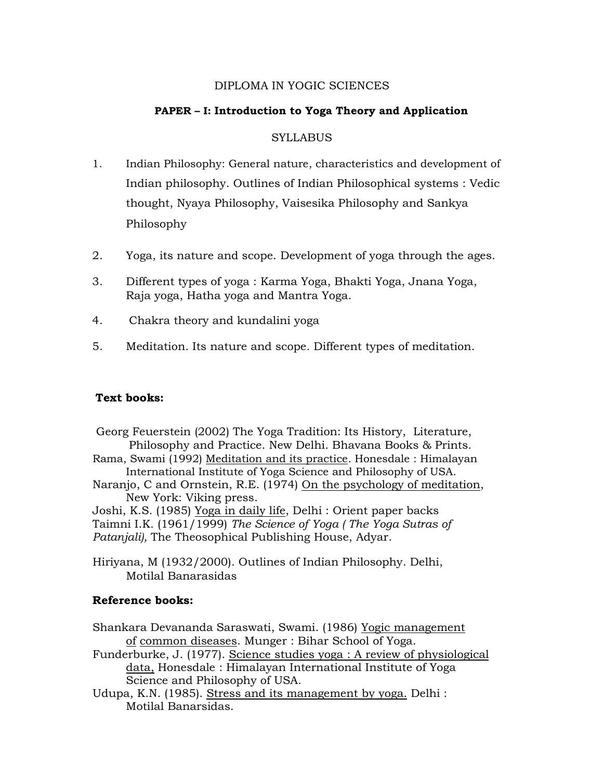#### DIPLOMA IN YOGIC SCIENCES

## **PAPER – I: Introduction to Yoga Theory and Application**

## **SYLLABUS**

- 1. Indian Philosophy: General nature, characteristics and development of Indian philosophy. Outlines of Indian Philosophical systems : Vedic thought, Nyaya Philosophy, Vaisesika Philosophy and Sankya Philosophy
- 2. Yoga, its nature and scope. Development of yoga through the ages.
- 3. Different types of yoga : Karma Yoga, Bhakti Yoga, Jnana Yoga, Raja yoga, Hatha yoga and Mantra Yoga.
- 4. Chakra theory and kundalini yoga
- 5. Meditation. Its nature and scope. Different types of meditation.

# **Text books:**

Georg Feuerstein (2002) The Yoga Tradition: Its History, Literature, Philosophy and Practice. New Delhi. Bhavana Books & Prints. Rama, Swami (1992) Meditation and its practice. Honesdale : Himalayan International Institute of Yoga Science and Philosophy of USA. Naranjo, C and Ornstein, R.E. (1974) On the psychology of meditation, New York: Viking press. Joshi, K.S. (1985) Yoga in daily life, Delhi : Orient paper backs

Taimni I.K. (1961/1999) *The Science of Yoga ( The Yoga Sutras of Patanjali),* The Theosophical Publishing House, Adyar.

Hiriyana, M (1932/2000). Outlines of Indian Philosophy. Delhi, Motilal Banarasidas

# **Reference books:**

Shankara Devananda Saraswati, Swami. (1986) Yogic management of common diseases. Munger : Bihar School of Yoga.

- Funderburke, J. (1977). Science studies yoga : A review of physiological data, Honesdale : Himalayan International Institute of Yoga Science and Philosophy of USA.
- Udupa, K.N. (1985). Stress and its management by yoga. Delhi : Motilal Banarsidas.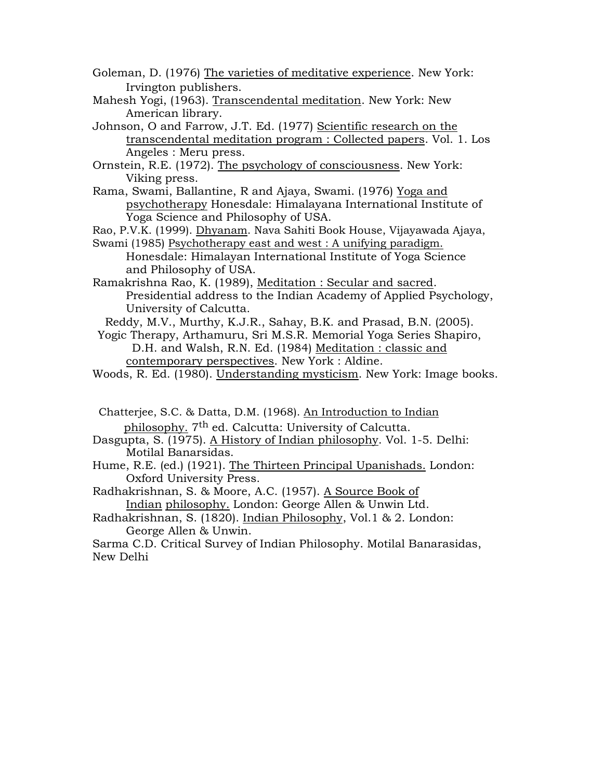Goleman, D. (1976) The varieties of meditative experience. New York: Irvington publishers.

- Mahesh Yogi, (1963). Transcendental meditation. New York: New American library.
- Johnson, O and Farrow, J.T. Ed. (1977) Scientific research on the transcendental meditation program : Collected papers. Vol. 1. Los Angeles : Meru press.

Ornstein, R.E. (1972). The psychology of consciousness. New York: Viking press.

Rama, Swami, Ballantine, R and Ajaya, Swami. (1976) Yoga and psychotherapy Honesdale: Himalayana International Institute of Yoga Science and Philosophy of USA.

Rao, P.V.K. (1999). Dhyanam. Nava Sahiti Book House, Vijayawada Ajaya, Swami (1985) Psychotherapy east and west : A unifying paradigm.

Honesdale: Himalayan International Institute of Yoga Science and Philosophy of USA.

Ramakrishna Rao, K. (1989), Meditation : Secular and sacred. Presidential address to the Indian Academy of Applied Psychology, University of Calcutta.

Reddy, M.V., Murthy, K.J.R., Sahay, B.K. and Prasad, B.N. (2005).

Yogic Therapy, Arthamuru, Sri M.S.R. Memorial Yoga Series Shapiro, D.H. and Walsh, R.N. Ed. (1984) Meditation : classic and contemporary perspectives. New York : Aldine.

Chatterjee, S.C. & Datta, D.M. (1968). An Introduction to Indian philosophy. 7th ed. Calcutta: University of Calcutta.

- Dasgupta, S. (1975). A History of Indian philosophy. Vol. 1-5. Delhi: Motilal Banarsidas.
- Hume, R.E. (ed.) (1921). The Thirteen Principal Upanishads. London: Oxford University Press.

Radhakrishnan, S. & Moore, A.C. (1957). A Source Book of Indian philosophy. London: George Allen & Unwin Ltd.

Radhakrishnan, S. (1820). Indian Philosophy, Vol.1 & 2. London: George Allen & Unwin.

Sarma C.D. Critical Survey of Indian Philosophy. Motilal Banarasidas, New Delhi

Woods, R. Ed. (1980). Understanding mysticism. New York: Image books.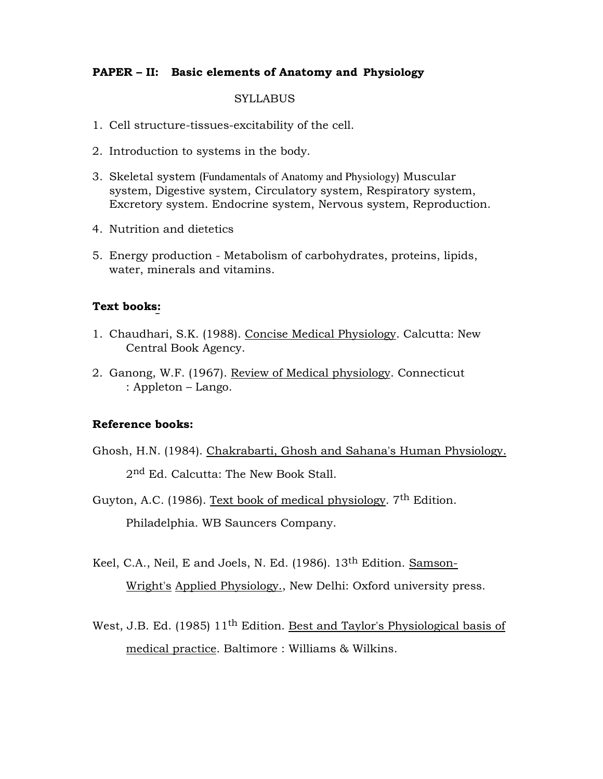#### **PAPER – II: Basic elements of Anatomy and Physiology**

#### **SYLLABUS**

- 1. Cell structure-tissues-excitability of the cell.
- 2. Introduction to systems in the body.
- 3. Skeletal system (Fundamentals of Anatomy and Physiology) Muscular system, Digestive system, Circulatory system, Respiratory system, Excretory system. Endocrine system, Nervous system, Reproduction.
- 4. Nutrition and dietetics
- 5. Energy production Metabolism of carbohydrates, proteins, lipids, water, minerals and vitamins.

#### **Text books:**

- 1. Chaudhari, S.K. (1988). Concise Medical Physiology. Calcutta: New Central Book Agency.
- 2. Ganong, W.F. (1967). Review of Medical physiology. Connecticut : Appleton – Lango.

#### **Reference books:**

- Ghosh, H.N. (1984). Chakrabarti, Ghosh and Sahana's Human Physiology. 2<sup>nd</sup> Ed. Calcutta: The New Book Stall.
- Guyton, A.C. (1986). Text book of medical physiology.  $7<sup>th</sup>$  Edition. Philadelphia. WB Sauncers Company.
- Keel, C.A., Neil, E and Joels, N. Ed. (1986). 13<sup>th</sup> Edition. Samson-Wright's Applied Physiology., New Delhi: Oxford university press.
- West, J.B. Ed. (1985) 11<sup>th</sup> Edition. Best and Taylor's Physiological basis of medical practice. Baltimore : Williams & Wilkins.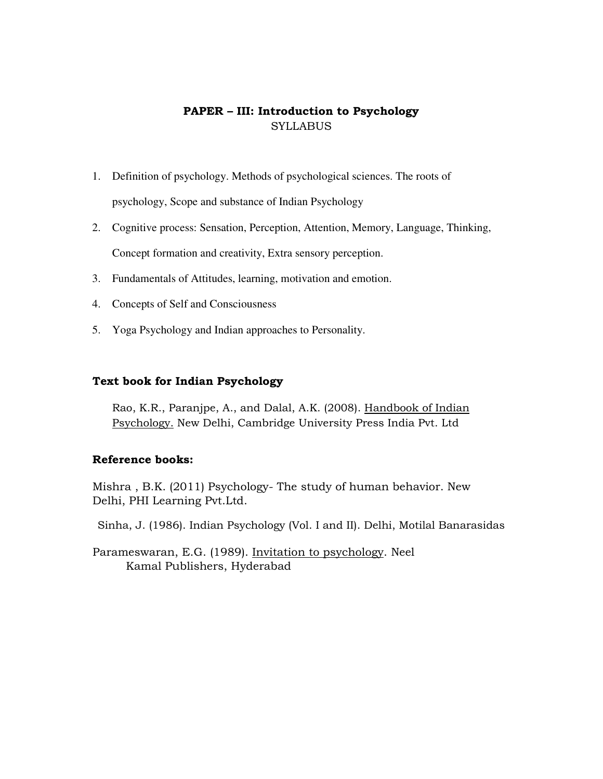# **PAPER – III: Introduction to Psychology SYLLABUS**

- 1. Definition of psychology. Methods of psychological sciences. The roots of psychology, Scope and substance of Indian Psychology
- 2. Cognitive process: Sensation, Perception, Attention, Memory, Language, Thinking, Concept formation and creativity, Extra sensory perception.
- 3. Fundamentals of Attitudes, learning, motivation and emotion.
- 4. Concepts of Self and Consciousness
- 5. Yoga Psychology and Indian approaches to Personality.

#### **Text book for Indian Psychology**

Rao, K.R., Paranjpe, A., and Dalal, A.K. (2008). Handbook of Indian Psychology. New Delhi, Cambridge University Press India Pvt. Ltd

#### **Reference books:**

Mishra , B.K. (2011) Psychology- The study of human behavior. New Delhi, PHI Learning Pvt.Ltd.

Sinha, J. (1986). Indian Psychology (Vol. I and II). Delhi, Motilal Banarasidas

Parameswaran, E.G. (1989). Invitation to psychology. Neel Kamal Publishers, Hyderabad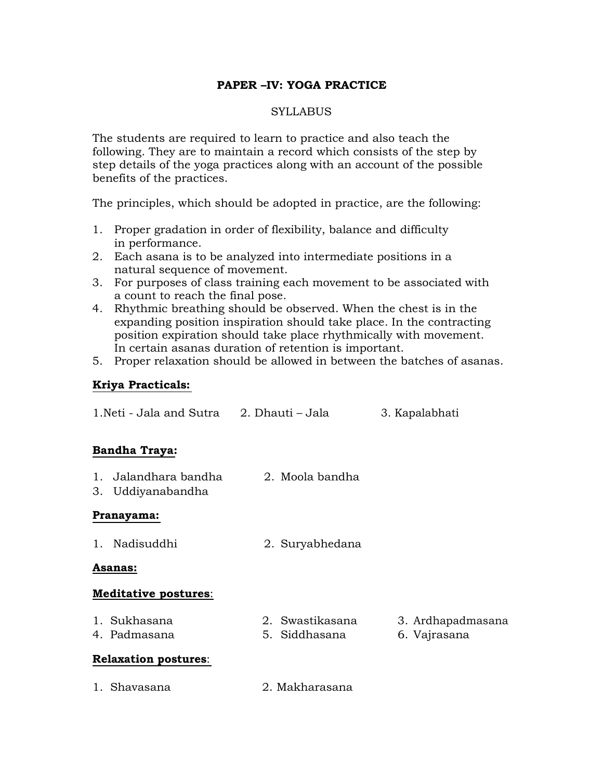# **PAPER –IV: YOGA PRACTICE**

# **SYLLABUS**

The students are required to learn to practice and also teach the following. They are to maintain a record which consists of the step by step details of the yoga practices along with an account of the possible benefits of the practices.

The principles, which should be adopted in practice, are the following:

- 1. Proper gradation in order of flexibility, balance and difficulty in performance.
- 2. Each asana is to be analyzed into intermediate positions in a natural sequence of movement.
- 3. For purposes of class training each movement to be associated with a count to reach the final pose.
- 4. Rhythmic breathing should be observed. When the chest is in the expanding position inspiration should take place. In the contracting position expiration should take place rhythmically with movement. In certain asanas duration of retention is important.
- 5. Proper relaxation should be allowed in between the batches of asanas.

# **Kriya Practicals:**

| 1. Neti - Jala and Sutra 2. Dhauti – Jala |                                  | 3. Kapalabhati                    |
|-------------------------------------------|----------------------------------|-----------------------------------|
| <b>Bandha Traya:</b>                      |                                  |                                   |
| 1. Jalandhara bandha<br>3. Uddiyanabandha | 2. Moola bandha                  |                                   |
| Pranayama:                                |                                  |                                   |
| 1. Nadisuddhi                             | 2. Suryabhedana                  |                                   |
| <b>Asanas:</b>                            |                                  |                                   |
| <b>Meditative postures:</b>               |                                  |                                   |
| 1. Sukhasana<br>4. Padmasana              | 2. Swastikasana<br>5. Siddhasana | 3. Ardhapadmasana<br>6. Vajrasana |
| <b>Relaxation postures:</b>               |                                  |                                   |
| 1. Shavasana                              | 2. Makharasana                   |                                   |